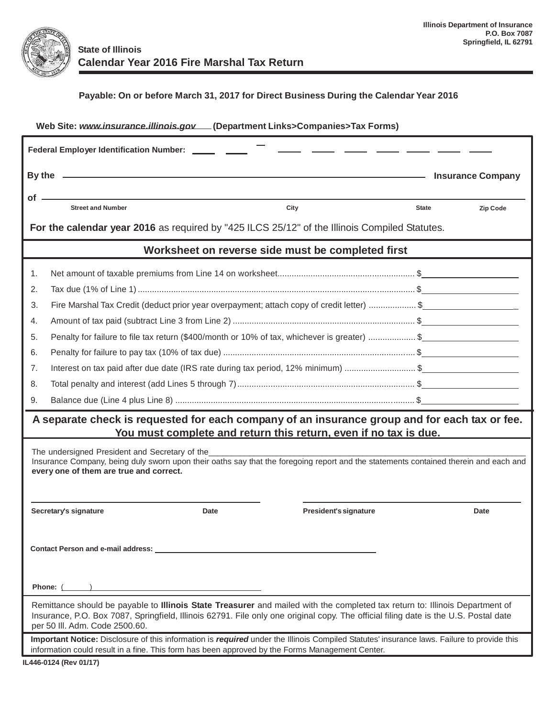

## **Payable: On or before March 31, 2017 for Direct Business During the Calendar Year 2016**

| Web Site: www.insurance.illinois.gov.[Department Links>Companies>Tax Forms)                                                                                                                                                                                                                            |                                                                                             |                          |                       |              |                 |  |  |  |  |
|--------------------------------------------------------------------------------------------------------------------------------------------------------------------------------------------------------------------------------------------------------------------------------------------------------|---------------------------------------------------------------------------------------------|--------------------------|-----------------------|--------------|-----------------|--|--|--|--|
| Federal Employer Identification Number: ______ ____                                                                                                                                                                                                                                                    |                                                                                             |                          |                       |              |                 |  |  |  |  |
|                                                                                                                                                                                                                                                                                                        |                                                                                             | <b>Insurance Company</b> |                       |              |                 |  |  |  |  |
| of -                                                                                                                                                                                                                                                                                                   | <b>Street and Number</b>                                                                    | City                     |                       | <b>State</b> | <b>Zip Code</b> |  |  |  |  |
|                                                                                                                                                                                                                                                                                                        |                                                                                             |                          |                       |              |                 |  |  |  |  |
| For the calendar year 2016 as required by "425 ILCS 25/12" of the Illinois Compiled Statutes.                                                                                                                                                                                                          |                                                                                             |                          |                       |              |                 |  |  |  |  |
| Worksheet on reverse side must be completed first                                                                                                                                                                                                                                                      |                                                                                             |                          |                       |              |                 |  |  |  |  |
| 1.                                                                                                                                                                                                                                                                                                     |                                                                                             |                          |                       |              |                 |  |  |  |  |
| 2.                                                                                                                                                                                                                                                                                                     |                                                                                             |                          |                       |              |                 |  |  |  |  |
| 3.                                                                                                                                                                                                                                                                                                     | Fire Marshal Tax Credit (deduct prior year overpayment; attach copy of credit letter) \$    |                          |                       |              |                 |  |  |  |  |
| 4.                                                                                                                                                                                                                                                                                                     |                                                                                             |                          |                       |              |                 |  |  |  |  |
| 5.                                                                                                                                                                                                                                                                                                     | Penalty for failure to file tax return (\$400/month or 10% of tax, whichever is greater) \$ |                          |                       |              |                 |  |  |  |  |
| 6.                                                                                                                                                                                                                                                                                                     |                                                                                             |                          |                       |              |                 |  |  |  |  |
| 7.                                                                                                                                                                                                                                                                                                     | Interest on tax paid after due date (IRS rate during tax period, 12% minimum) \$            |                          |                       |              |                 |  |  |  |  |
| 8.                                                                                                                                                                                                                                                                                                     |                                                                                             |                          |                       |              |                 |  |  |  |  |
| 9.                                                                                                                                                                                                                                                                                                     |                                                                                             |                          |                       |              |                 |  |  |  |  |
| A separate check is requested for each company of an insurance group and for each tax or fee.<br>You must complete and return this return, even if no tax is due.                                                                                                                                      |                                                                                             |                          |                       |              |                 |  |  |  |  |
| The undersigned President and Secretary of the<br>Insurance Company, being duly sworn upon their oaths say that the foregoing report and the statements contained therein and each and<br>every one of them are true and correct.                                                                      |                                                                                             |                          |                       |              |                 |  |  |  |  |
|                                                                                                                                                                                                                                                                                                        | Secretary's signature                                                                       | Date                     | President's signature |              | Date            |  |  |  |  |
| Contact Person and e-mail address:                                                                                                                                                                                                                                                                     |                                                                                             |                          |                       |              |                 |  |  |  |  |
| Phone: (                                                                                                                                                                                                                                                                                               |                                                                                             |                          |                       |              |                 |  |  |  |  |
| Remittance should be payable to Illinois State Treasurer and mailed with the completed tax return to: Illinois Department of<br>Insurance, P.O. Box 7087, Springfield, Illinois 62791. File only one original copy. The official filing date is the U.S. Postal date<br>per 50 III. Adm. Code 2500.60. |                                                                                             |                          |                       |              |                 |  |  |  |  |
| Important Notice: Disclosure of this information is required under the Illinois Compiled Statutes' insurance laws. Failure to provide this<br>information could result in a fine. This form has been approved by the Forms Management Center.                                                          |                                                                                             |                          |                       |              |                 |  |  |  |  |
| IL446-0124 (Rev 01/17)                                                                                                                                                                                                                                                                                 |                                                                                             |                          |                       |              |                 |  |  |  |  |